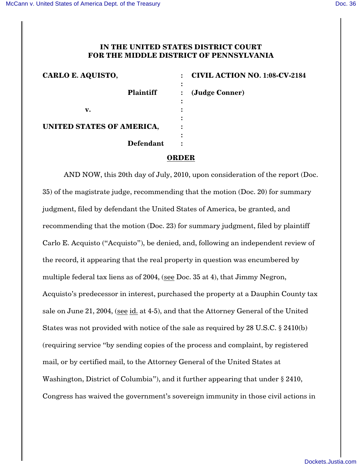## **IN THE UNITED STATES DISTRICT COURT FOR THE MIDDLE DISTRICT OF PENNSYLVANIA**

| CARLO E. AQUISTO,         | <b>CIVIL ACTION NO. 1:08-CV-2184</b><br>$\ddot{\cdot}$ |
|---------------------------|--------------------------------------------------------|
| <b>Plaintiff</b>          | $\ddot{\phantom{0}}$<br>(Judge Conner)<br>፡            |
| v.                        |                                                        |
| UNITED STATES OF AMERICA, |                                                        |
| <b>Defendant</b>          | ٠                                                      |

## **ORDER**

AND NOW, this 20th day of July, 2010, upon consideration of the report (Doc. 35) of the magistrate judge, recommending that the motion (Doc. 20) for summary judgment, filed by defendant the United States of America, be granted, and recommending that the motion (Doc. 23) for summary judgment, filed by plaintiff Carlo E. Acquisto ("Acquisto"), be denied, and, following an independent review of the record, it appearing that the real property in question was encumbered by multiple federal tax liens as of 2004, (see Doc. 35 at 4), that Jimmy Negron, Acquisto's predecessor in interest, purchased the property at a Dauphin County tax sale on June 21, 2004, (see id. at 4-5), and that the Attorney General of the United States was not provided with notice of the sale as required by 28 U.S.C. § 2410(b) (requiring service "by sending copies of the process and complaint, by registered mail, or by certified mail, to the Attorney General of the United States at Washington, District of Columbia"), and it further appearing that under § 2410, Congress has waived the government's sovereign immunity in those civil actions in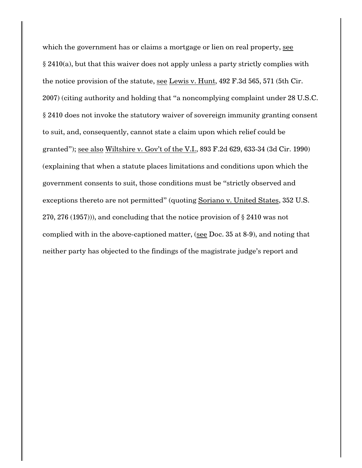which the government has or claims a mortgage or lien on real property, see § 2410(a), but that this waiver does not apply unless a party strictly complies with the notice provision of the statute, see Lewis v. Hunt, 492 F.3d 565, 571 (5th Cir. 2007) (citing authority and holding that "a noncomplying complaint under 28 U.S.C. § 2410 does not invoke the statutory waiver of sovereign immunity granting consent to suit, and, consequently, cannot state a claim upon which relief could be granted"); see also Wiltshire v. Gov't of the V.I., 893 F.2d 629, 633-34 (3d Cir. 1990) (explaining that when a statute places limitations and conditions upon which the government consents to suit, those conditions must be "strictly observed and exceptions thereto are not permitted" (quoting Soriano v. United States, 352 U.S. 270, 276 (1957))), and concluding that the notice provision of § 2410 was not complied with in the above-captioned matter, (see Doc. 35 at 8-9), and noting that neither party has objected to the findings of the magistrate judge's report and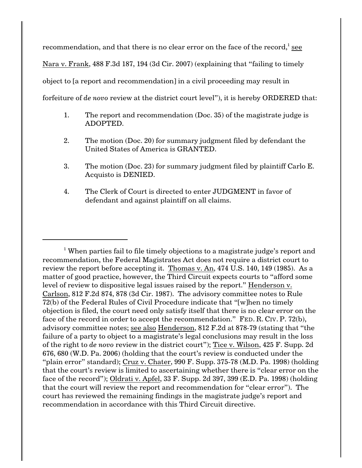recommendation, and that there is no clear error on the face of the record, $\frac{1}{1}$  see Nara v. Frank, 488 F.3d 187, 194 (3d Cir. 2007) (explaining that "failing to timely object to [a report and recommendation] in a civil proceeding may result in forfeiture of *de novo* review at the district court level"), it is hereby ORDERED that:

- 1. The report and recommendation (Doc. 35) of the magistrate judge is ADOPTED.
- 2. The motion (Doc. 20) for summary judgment filed by defendant the United States of America is GRANTED.
- 3. The motion (Doc. 23) for summary judgment filed by plaintiff Carlo E. Acquisto is DENIED.
- 4. The Clerk of Court is directed to enter JUDGMENT in favor of defendant and against plaintiff on all claims.

<sup>&</sup>lt;sup>1</sup> When parties fail to file timely objections to a magistrate judge's report and recommendation, the Federal Magistrates Act does not require a district court to review the report before accepting it. Thomas v. An, 474 U.S. 140, 149 (1985). As a matter of good practice, however, the Third Circuit expects courts to "afford some level of review to dispositive legal issues raised by the report." Henderson v. Carlson, 812 F.2d 874, 878 (3d Cir. 1987). The advisory committee notes to Rule 72(b) of the Federal Rules of Civil Procedure indicate that "[w]hen no timely objection is filed, the court need only satisfy itself that there is no clear error on the face of the record in order to accept the recommendation." FED. R. CIV. P. 72(b), advisory committee notes; see also Henderson, 812 F.2d at 878-79 (stating that "the failure of a party to object to a magistrate's legal conclusions may result in the loss of the right to *de novo* review in the district court"); Tice v. Wilson, 425 F. Supp. 2d 676, 680 (W.D. Pa. 2006) (holding that the court's review is conducted under the "plain error" standard); Cruz v. Chater, 990 F. Supp. 375-78 (M.D. Pa. 1998) (holding that the court's review is limited to ascertaining whether there is "clear error on the face of the record"); Oldrati v. Apfel, 33 F. Supp. 2d 397, 399 (E.D. Pa. 1998) (holding that the court will review the report and recommendation for "clear error"). The court has reviewed the remaining findings in the magistrate judge's report and recommendation in accordance with this Third Circuit directive.